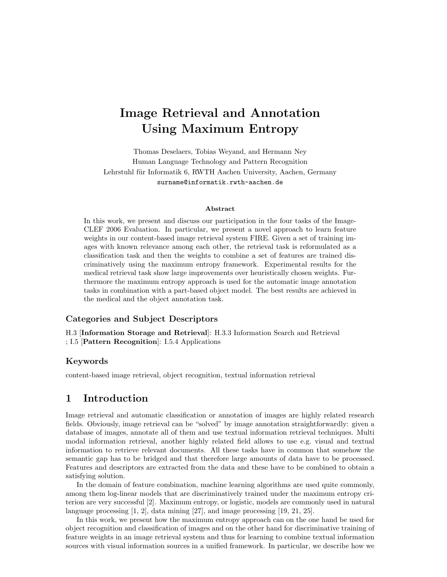# Image Retrieval and Annotation Using Maximum Entropy

Thomas Deselaers, Tobias Weyand, and Hermann Ney Human Language Technology and Pattern Recognition Lehrstuhl für Informatik 6, RWTH Aachen University, Aachen, Germany surname@informatik.rwth-aachen.de

#### Abstract

In this work, we present and discuss our participation in the four tasks of the Image-CLEF 2006 Evaluation. In particular, we present a novel approach to learn feature weights in our content-based image retrieval system FIRE. Given a set of training images with known relevance among each other, the retrieval task is reformulated as a classification task and then the weights to combine a set of features are trained discriminatively using the maximum entropy framework. Experimental results for the medical retrieval task show large improvements over heuristically chosen weights. Furthermore the maximum entropy approach is used for the automatic image annotation tasks in combination with a part-based object model. The best results are achieved in the medical and the object annotation task.

## Categories and Subject Descriptors

H.3 [Information Storage and Retrieval]: H.3.3 Information Search and Retrieval ; I.5 [Pattern Recognition]: I.5.4 Applications

## Keywords

content-based image retrieval, object recognition, textual information retrieval

# 1 Introduction

Image retrieval and automatic classification or annotation of images are highly related research fields. Obviously, image retrieval can be "solved" by image annotation straightforwardly: given a database of images, annotate all of them and use textual information retrieval techniques. Multi modal information retrieval, another highly related field allows to use e.g. visual and textual information to retrieve relevant documents. All these tasks have in common that somehow the semantic gap has to be bridged and that therefore large amounts of data have to be processed. Features and descriptors are extracted from the data and these have to be combined to obtain a satisfying solution.

In the domain of feature combination, machine learning algorithms are used quite commonly, among them log-linear models that are discriminatively trained under the maximum entropy criterion are very successful [2]. Maximum entropy, or logistic, models are commonly used in natural language processing  $\left[1, 2\right]$ , data mining  $\left[27\right]$ , and image processing  $\left[19, 21, 25\right]$ .

In this work, we present how the maximum entropy approach can on the one hand be used for object recognition and classification of images and on the other hand for discriminative training of feature weights in an image retrieval system and thus for learning to combine textual information sources with visual information sources in a unified framework. In particular, we describe how we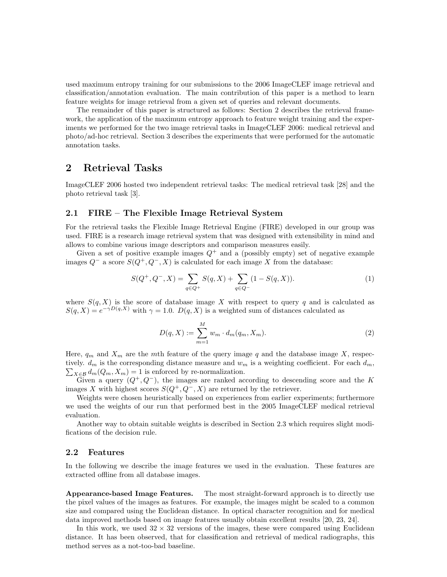used maximum entropy training for our submissions to the 2006 ImageCLEF image retrieval and classification/annotation evaluation. The main contribution of this paper is a method to learn feature weights for image retrieval from a given set of queries and relevant documents.

The remainder of this paper is structured as follows: Section 2 describes the retrieval framework, the application of the maximum entropy approach to feature weight training and the experiments we performed for the two image retrieval tasks in ImageCLEF 2006: medical retrieval and photo/ad-hoc retrieval. Section 3 describes the experiments that were performed for the automatic annotation tasks.

# 2 Retrieval Tasks

ImageCLEF 2006 hosted two independent retrieval tasks: The medical retrieval task [28] and the photo retrieval task [3].

## 2.1 FIRE – The Flexible Image Retrieval System

For the retrieval tasks the Flexible Image Retrieval Engine (FIRE) developed in our group was used. FIRE is a research image retrieval system that was designed with extensibility in mind and allows to combine various image descriptors and comparison measures easily.

Given a set of positive example images  $Q^+$  and a (possibly empty) set of negative example images  $Q^-$  a score  $S(Q^+, Q^-, X)$  is calculated for each image X from the database:

$$
S(Q^+, Q^-, X) = \sum_{q \in Q^+} S(q, X) + \sum_{q \in Q^-} (1 - S(q, X)).
$$
\n(1)

where  $S(q, X)$  is the score of database image X with respect to query q and is calculated as  $S(q, X) = e^{-\gamma D(q, X)}$  with  $\gamma = 1.0$ .  $D(q, X)$  is a weighted sum of distances calculated as

$$
D(q, X) := \sum_{m=1}^{M} w_m \cdot d_m(q_m, X_m).
$$
 (2)

Here,  $q_m$  and  $X_m$  are the mth feature of the query image q and the database image X, respec- $\sum_{X \in \mathcal{B}} d_m(Q_m, X_m) = 1$  is enforced by re-normalization. tively.  $d_m$  is the corresponding distance measure and  $w_m$  is a weighting coefficient. For each  $d_m$ ,

Given a query  $(Q^+, Q^-)$ , the images are ranked according to descending score and the K images X with highest scores  $S(Q^+, Q^-, X)$  are returned by the retriever.

Weights were chosen heuristically based on experiences from earlier experiments; furthermore we used the weights of our run that performed best in the 2005 ImageCLEF medical retrieval evaluation.

Another way to obtain suitable weights is described in Section 2.3 which requires slight modifications of the decision rule.

# 2.2 Features

In the following we describe the image features we used in the evaluation. These features are extracted offline from all database images.

Appearance-based Image Features. The most straight-forward approach is to directly use the pixel values of the images as features. For example, the images might be scaled to a common size and compared using the Euclidean distance. In optical character recognition and for medical data improved methods based on image features usually obtain excellent results [20, 23, 24].

In this work, we used  $32 \times 32$  versions of the images, these were compared using Euclidean distance. It has been observed, that for classification and retrieval of medical radiographs, this method serves as a not-too-bad baseline.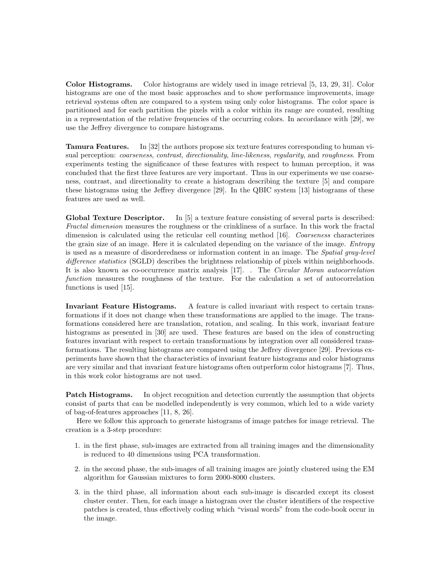Color Histograms. Color histograms are widely used in image retrieval [5, 13, 29, 31]. Color histograms are one of the most basic approaches and to show performance improvements, image retrieval systems often are compared to a system using only color histograms. The color space is partitioned and for each partition the pixels with a color within its range are counted, resulting in a representation of the relative frequencies of the occurring colors. In accordance with [29], we use the Jeffrey divergence to compare histograms.

Tamura Features. In [32] the authors propose six texture features corresponding to human visual perception: *coarseness, contrast, directionality, line-likeness, regularity, and roughness*. From experiments testing the significance of these features with respect to human perception, it was concluded that the first three features are very important. Thus in our experiments we use coarseness, contrast, and directionality to create a histogram describing the texture [5] and compare these histograms using the Jeffrey divergence [29]. In the QBIC system [13] histograms of these features are used as well.

Global Texture Descriptor. In [5] a texture feature consisting of several parts is described: Fractal dimension measures the roughness or the crinkliness of a surface. In this work the fractal dimension is calculated using the reticular cell counting method [16]. Coarseness characterizes the grain size of an image. Here it is calculated depending on the variance of the image. Entropy is used as a measure of disorderedness or information content in an image. The Spatial gray-level difference statistics (SGLD) describes the brightness relationship of pixels within neighborhoods. It is also known as co-occurrence matrix analysis [17]. . The Circular Moran autocorrelation function measures the roughness of the texture. For the calculation a set of autocorrelation functions is used [15].

Invariant Feature Histograms. A feature is called invariant with respect to certain transformations if it does not change when these transformations are applied to the image. The transformations considered here are translation, rotation, and scaling. In this work, invariant feature histograms as presented in [30] are used. These features are based on the idea of constructing features invariant with respect to certain transformations by integration over all considered transformations. The resulting histograms are compared using the Jeffrey divergence [29]. Previous experiments have shown that the characteristics of invariant feature histograms and color histograms are very similar and that invariant feature histograms often outperform color histograms [7]. Thus, in this work color histograms are not used.

**Patch Histograms.** In object recognition and detection currently the assumption that objects consist of parts that can be modelled independently is very common, which led to a wide variety of bag-of-features approaches [11, 8, 26].

Here we follow this approach to generate histograms of image patches for image retrieval. The creation is a 3-step procedure:

- 1. in the first phase, sub-images are extracted from all training images and the dimensionality is reduced to 40 dimensions using PCA transformation.
- 2. in the second phase, the sub-images of all training images are jointly clustered using the EM algorithm for Gaussian mixtures to form 2000-8000 clusters.
- 3. in the third phase, all information about each sub-image is discarded except its closest cluster center. Then, for each image a histogram over the cluster identifiers of the respective patches is created, thus effectively coding which "visual words" from the code-book occur in the image.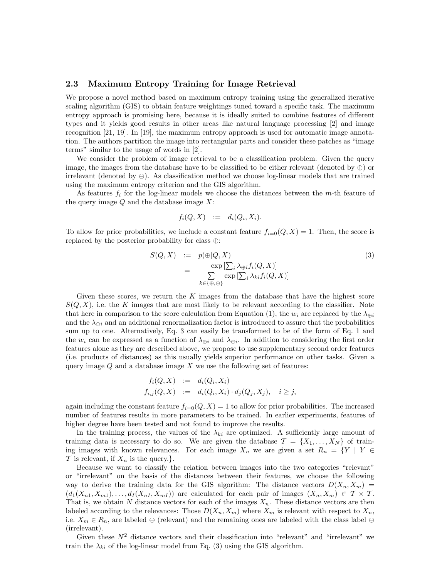## 2.3 Maximum Entropy Training for Image Retrieval

We propose a novel method based on maximum entropy training using the generalized iterative scaling algorithm (GIS) to obtain feature weightings tuned toward a specific task. The maximum entropy approach is promising here, because it is ideally suited to combine features of different types and it yields good results in other areas like natural language processing [2] and image recognition [21, 19]. In [19], the maximum entropy approach is used for automatic image annotation. The authors partition the image into rectangular parts and consider these patches as "image terms" similar to the usage of words in [2].

We consider the problem of image retrieval to be a classification problem. Given the query image, the images from the database have to be classified to be either relevant (denoted by  $oplus$ ) or irrelevant (denoted by  $\ominus$ ). As classification method we choose log-linear models that are trained using the maximum entropy criterion and the GIS algorithm.

As features  $f_i$  for the log-linear models we choose the distances between the m-th feature of the query image  $Q$  and the database image  $X$ :

$$
f_i(Q, X) \quad := \quad d_i(Q_i, X_i).
$$

To allow for prior probabilities, we include a constant feature  $f_{i=0}(Q, X) = 1$ . Then, the score is replaced by the posterior probability for class ⊕:

$$
S(Q, X) := p(\bigoplus |Q, X)
$$
  
= 
$$
\frac{\exp\left[\sum_{i} \lambda_{\bigoplus i} f_i(Q, X)\right]}{\sum_{k \in \{\oplus, \ominus\}} \exp\left[\sum_{i} \lambda_{ki} f_i(Q, X)\right]}
$$
 (3)

Given these scores, we return the  $K$  images from the database that have the highest score  $S(Q, X)$ , i.e. the K images that are most likely to be relevant according to the classifier. Note that here in comparison to the score calculation from Equation (1), the  $w_i$  are replaced by the  $\lambda_{\oplus i}$ and the  $\lambda_{\ominus i}$  and an additional renormalization factor is introduced to assure that the probabilities sum up to one. Alternatively, Eq. 3 can easily be transformed to be of the form of Eq. 1 and the  $w_i$  can be expressed as a function of  $\lambda_{\oplus i}$  and  $\lambda_{\ominus i}$ . In addition to considering the first order features alone as they are described above, we propose to use supplementary second order features (i.e. products of distances) as this usually yields superior performance on other tasks. Given a query image  $Q$  and a database image  $X$  we use the following set of features:

$$
f_i(Q, X) := d_i(Q_i, X_i)
$$
  
\n
$$
f_{i,j}(Q, X) := d_i(Q_i, X_i) \cdot d_j(Q_j, X_j), \quad i \geq j,
$$

again including the constant feature  $f_{i=0}(Q, X) = 1$  to allow for prior probabilities. The increased number of features results in more parameters to be trained. In earlier experiments, features of higher degree have been tested and not found to improve the results.

In the training process, the values of the  $\lambda_{ki}$  are optimized. A sufficiently large amount of training data is necessary to do so. We are given the database  $\mathcal{T} = \{X_1, \ldots, X_N\}$  of training images with known relevances. For each image  $X_n$  we are given a set  $R_n = \{Y \mid Y \in$  $\mathcal T$  is relevant, if  $X_n$  is the query.}.

Because we want to classify the relation between images into the two categories "relevant" or "irrelevant" on the basis of the distances between their features, we choose the following way to derive the training data for the GIS algorithm: The distance vectors  $D(X_n, X_m)$  $(d_1(X_{n1}, X_{m1}), \ldots, d_I(X_{nI}, X_{mI}))$  are calculated for each pair of images  $(X_n, X_m) \in \mathcal{T} \times \mathcal{T}$ . That is, we obtain N distance vectors for each of the images  $X_n$ . These distance vectors are then labeled according to the relevances: Those  $D(X_n, X_m)$  where  $X_m$  is relevant with respect to  $X_n$ , i.e.  $X_m \in R_n$ , are labeled  $\oplus$  (relevant) and the remaining ones are labeled with the class label  $\ominus$ (irrelevant).

Given these  $N^2$  distance vectors and their classification into "relevant" and "irrelevant" we train the  $\lambda_{ki}$  of the log-linear model from Eq. (3) using the GIS algorithm.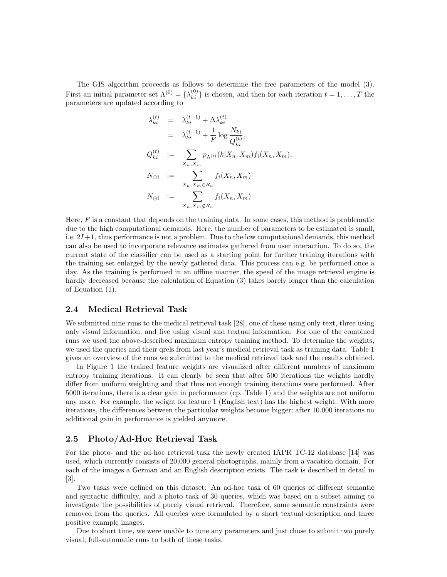The GIS algorithm proceeds as follows to determine the free parameters of the model (3). First an initial parameter set  $\Lambda^{(0)} = {\lambda_{ki}^{(0)}}$  is chosen, and then for each iteration  $t = 1, \ldots, T$  the parameters are updated according to

$$
\lambda_{ki}^{(t)} = \lambda_{ki}^{(t-1)} + \Delta \lambda_{ki}^{(t)}
$$
\n
$$
= \lambda_{ki}^{(t-1)} + \frac{1}{F} \log \frac{N_{ki}}{Q_{ki}^{(t)}},
$$
\n
$$
Q_{ki}^{(t)} := \sum_{X_n, X_m} p_{\Lambda^{(t)}}(k|X_n, X_m) f_i(X_n, X_m),
$$
\n
$$
N_{\oplus i} := \sum_{X_n, X_m \in R_n} f_i(X_n, X_m)
$$
\n
$$
N_{\ominus i} := \sum_{X_n, X_m \notin R_n} f_i(X_n, X_m)
$$

Here,  $F$  is a constant that depends on the training data. In some cases, this method is problematic due to the high computational demands. Here, the number of parameters to be estimated is small, i.e.  $2I+1$ , thus performance is not a problem. Due to the low computational demands, this method can also be used to incorporate relevance estimates gathered from user interaction. To do so, the current state of the classifier can be used as a starting point for further training iterations with the training set enlarged by the newly gathered data. This process can e.g. be performed once a day. As the training is performed in an offline manner, the speed of the image retrieval engine is hardly decreased because the calculation of Equation (3) takes barely longer than the calculation of Equation (1).

#### 2.4 Medical Retrieval Task

We submitted nine runs to the medical retrieval task [28], one of these using only text, three using only visual information, and five using visual and textual information. For one of the combined runs we used the above-described maximum entropy training method. To determine the weights, we used the queries and their qrels from last year's medical retrieval task as training data. Table 1 gives an overview of the runs we submitted to the medical retrieval task and the results obtained.

In Figure 1 the trained feature weights are visualized after different numbers of maximum entropy training iterations. It can clearly be seen that after 500 iterations the weights hardly differ from uniform weighting and that thus not enough training iterations were performed. After 5000 iterations, there is a clear gain in performance (cp. Table 1) and the weights are not uniform any more. For example, the weight for feature 1 (English text) has the highest weight. With more iterations, the differences between the particular weights become bigger; after 10.000 iterations no additional gain in performance is yielded anymore.

## 2.5 Photo/Ad-Hoc Retrieval Task

For the photo- and the ad-hoc retrieval task the newly created IAPR TC-12 database [14] was used, which currently consists of 20,000 general photographs, mainly from a vacation domain. For each of the images a German and an English description exists. The task is described in detail in [3].

Two tasks were defined on this dataset: An ad-hoc task of 60 queries of different semantic and syntactic difficulty, and a photo task of 30 queries, which was based on a subset aiming to investigate the possibilities of purely visual retrieval. Therefore, some semantic constraints were removed from the queries. All queries were formulated by a short textual description and three positive example images.

Due to short time, we were unable to tune any parameters and just chose to submit two purely visual, full-automatic runs to both of these tasks.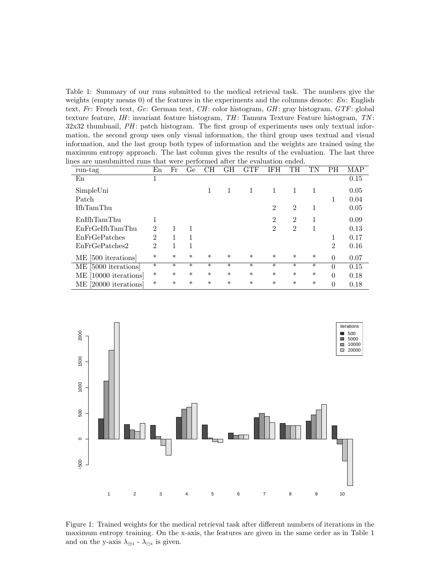Table 1: Summary of our runs submitted to the medical retrieval task. The numbers give the weights (empty means  $0$ ) of the features in the experiments and the columns denote:  $En$ : English text, Fr: French text, Ge: German text,  $CH$ : color histogram,  $GH$ : gray histogram,  $GTF$ : global texture feature,  $IH$ : invariant feature histogram,  $TH$ : Tamura Texture Feature histogram,  $TN$ :  $32x32$  thumbnail,  $PH$ : patch histogram. The first group of experiments uses only textual information, the second group uses only visual information, the third group uses textual and visual information, and the last group both types of information and the weights are trained using the maximum entropy approach. The last column gives the results of the evaluation. The last three lines are unsubmitted runs that were performed after the evaluation ended.

| run-tag               | En             | Fr     | Ge     | CН     | GН     | GTF    | IFH            | TH             |        | PН             | MAP  |
|-----------------------|----------------|--------|--------|--------|--------|--------|----------------|----------------|--------|----------------|------|
| En                    |                |        |        |        |        |        |                |                |        |                | 0.15 |
| SimpleUni             |                |        |        |        |        |        |                | 1              | 1      |                | 0.05 |
| Patch                 |                |        |        |        |        |        |                |                |        |                | 0.04 |
| <b>IfhTamThu</b>      |                |        |        |        |        |        | $\overline{2}$ | $\overline{2}$ | 1      |                | 0.05 |
| EnIfhTamThu           |                |        |        |        |        |        | $\overline{2}$ | $\overline{2}$ |        |                | 0.09 |
| EnFrGeIfhTamThu       | $\mathfrak{D}$ |        | 1      |        |        |        | 2              | $\overline{2}$ | Ι.     |                | 0.13 |
| EnFrGePatches         | $\mathcal{D}$  | 1      | 1      |        |        |        |                |                |        |                | 0.17 |
| EnFrGePatches2        | $\mathfrak{D}$ | 1      | 1      |        |        |        |                |                |        | $\overline{2}$ | 0.16 |
| ME [500 iterations]   | $\ast$         | $\ast$ | $\ast$ | $\ast$ | $\ast$ | $\ast$ | $\ast$         | $\ast$         | $\ast$ | $\theta$       | 0.07 |
| ME [5000 iterations]  | $\ast$         | $\ast$ | $\ast$ | $\ast$ | $\ast$ | $\ast$ | $\ast$         | $\ast$         | $\ast$ | $\theta$       | 0.15 |
| ME [10000 iterations] | $\ast$         | $\ast$ | $\ast$ | $\ast$ | $\ast$ | $\ast$ | $\ast$         | $\ast$         | $\ast$ | $\theta$       | 0.18 |
| ME [20000 iterations] | $\ast$         | $\ast$ | $\ast$ | $\ast$ | $\ast$ | $\ast$ | $\ast$         | $\ast$         | $\ast$ | $\theta$       | 0.18 |



Figure 1: Trained weights for the medical retrieval task after different numbers of iterations in the maximum entropy training. On the x-axis, the features are given in the same order as in Table 1 and on the y-axis  $\lambda_{\oplus i}$  -  $\lambda_{\ominus i}$  is given.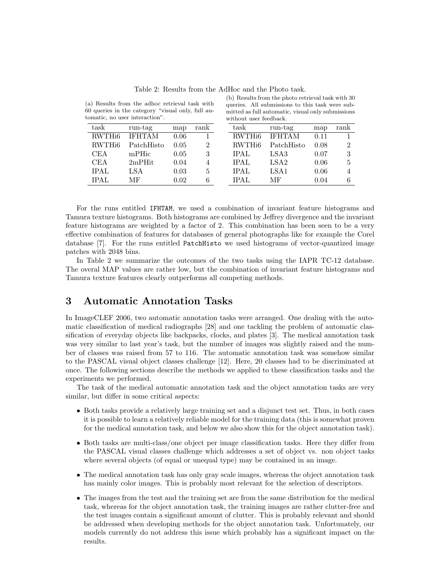| task               | run-tag       | map  | rank | task               | run-tag          | map  | rank |
|--------------------|---------------|------|------|--------------------|------------------|------|------|
| RWTH <sub>i6</sub> | <b>IFHTAM</b> | 0.06 |      | RWTH <sub>i6</sub> | <b>IFHTAM</b>    | 0.11 |      |
| RWTH <sub>i6</sub> | PatchHisto    | 0.05 | 2    | RWTH <sub>i6</sub> | PatchHisto       | 0.08 | 2    |
| <b>CEA</b>         | mPHic         | 0.05 | 3    | <b>IPAL</b>        | LSA3             | 0.07 | 3    |
| CEA                | $2m$ PHit     | 0.04 |      | <b>IPAL</b>        | LSA <sub>2</sub> | 0.06 | 5    |
| <b>IPAL</b>        | LSA           | 0.03 | 5    | <b>IPAL</b>        | LSA <sub>1</sub> | 0.06 |      |
| <b>IPAL</b>        | МF            | 0.02 | 6    | IPAL               | МF               | 0.04 |      |
|                    |               |      |      |                    |                  |      |      |

Table 2: Results from the AdHoc and the Photo task.

(b) Results from the photo retrieval task with 30 queries. All submissions to this task were submitted as full automatic, visual only submissions

without user feedback.

(a) Results from the adhoc retrieval task with 60 queries in the category "visual only, full automatic, no user interaction".

For the runs entitled IFHTAM, we used a combination of invariant feature histograms and Tamura texture histograms. Both histograms are combined by Jeffrey divergence and the invariant feature histograms are weighted by a factor of 2. This combination has been seen to be a very effective combination of features for databases of general photographs like for example the Corel database [7]. For the runs entitled PatchHisto we used histograms of vector-quantized image patches with 2048 bins.

In Table 2 we summarize the outcomes of the two tasks using the IAPR TC-12 database. The overal MAP values are rather low, but the combination of invariant feature histograms and Tamura texture features clearly outperforms all competing methods.

# 3 Automatic Annotation Tasks

In ImageCLEF 2006, two automatic annotation tasks were arranged. One dealing with the automatic classification of medical radiographs [28] and one tackling the problem of automatic classification of everyday objects like backpacks, clocks, and plates [3]. The medical annotation task was very similar to last year's task, but the number of images was slightly raised and the number of classes was raised from 57 to 116. The automatic annotation task was somehow similar to the PASCAL visual object classes challenge [12]. Here, 20 classes had to be discriminated at once. The following sections describe the methods we applied to these classification tasks and the experiments we performed.

The task of the medical automatic annotation task and the object annotation tasks are very similar, but differ in some critical aspects:

- Both tasks provide a relatively large training set and a disjunct test set. Thus, in both cases it is possible to learn a relatively reliable model for the training data (this is somewhat proven for the medical annotation task, and below we also show this for the object annotation task).
- Both tasks are multi-class/one object per image classification tasks. Here they differ from the PASCAL visual classes challenge which addresses a set of object vs. non object tasks where several objects (of equal or unequal type) may be contained in an image.
- The medical annotation task has only gray scale images, whereas the object annotation task has mainly color images. This is probably most relevant for the selection of descriptors.
- The images from the test and the training set are from the same distribution for the medical task, whereas for the object annotation task, the training images are rather clutter-free and the test images contain a significant amount of clutter. This is probably relevant and should be addressed when developing methods for the object annotation task. Unfortunately, our models currently do not address this issue which probably has a significant impact on the results.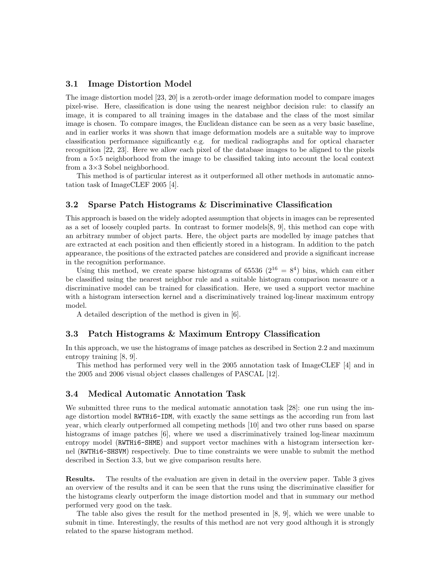## 3.1 Image Distortion Model

The image distortion model [23, 20] is a zeroth-order image deformation model to compare images pixel-wise. Here, classification is done using the nearest neighbor decision rule: to classify an image, it is compared to all training images in the database and the class of the most similar image is chosen. To compare images, the Euclidean distance can be seen as a very basic baseline, and in earlier works it was shown that image deformation models are a suitable way to improve classification performance significantly e.g. for medical radiographs and for optical character recognition [22, 23]. Here we allow each pixel of the database images to be aligned to the pixels from a 5×5 neighborhood from the image to be classified taking into account the local context from a 3×3 Sobel neighborhood.

This method is of particular interest as it outperformed all other methods in automatic annotation task of ImageCLEF 2005 [4].

## 3.2 Sparse Patch Histograms & Discriminative Classification

This approach is based on the widely adopted assumption that objects in images can be represented as a set of loosely coupled parts. In contrast to former models[8, 9], this method can cope with an arbitrary number of object parts. Here, the object parts are modelled by image patches that are extracted at each position and then efficiently stored in a histogram. In addition to the patch appearance, the positions of the extracted patches are considered and provide a significant increase in the recognition performance.

Using this method, we create sparse histograms of 65536  $(2^{16} = 8^4)$  bins, which can either be classified using the nearest neighbor rule and a suitable histogram comparison measure or a discriminative model can be trained for classification. Here, we used a support vector machine with a histogram intersection kernel and a discriminatively trained log-linear maximum entropy model.

A detailed description of the method is given in [6].

#### 3.3 Patch Histograms & Maximum Entropy Classification

In this approach, we use the histograms of image patches as described in Section 2.2 and maximum entropy training [8, 9].

This method has performed very well in the 2005 annotation task of ImageCLEF [4] and in the 2005 and 2006 visual object classes challenges of PASCAL [12].

#### 3.4 Medical Automatic Annotation Task

We submitted three runs to the medical automatic annotation task [28]: one run using the image distortion model RWTHi6-IDM, with exactly the same settings as the according run from last year, which clearly outperformed all competing methods [10] and two other runs based on sparse histograms of image patches [6], where we used a discriminatively trained log-linear maximum entropy model (RWTH<sub>16</sub>-SHME) and support vector machines with a histogram intersection kernel (RWTHi6-SHSVM) respectively. Due to time constraints we were unable to submit the method described in Section 3.3, but we give comparison results here.

Results. The results of the evaluation are given in detail in the overview paper. Table 3 gives an overview of the results and it can be seen that the runs using the discriminative classifier for the histograms clearly outperform the image distortion model and that in summary our method performed very good on the task.

The table also gives the result for the method presented in [8, 9], which we were unable to submit in time. Interestingly, the results of this method are not very good although it is strongly related to the sparse histogram method.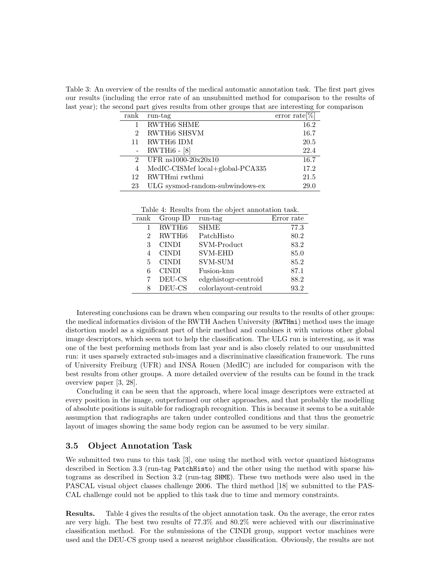Table 3: An overview of the results of the medical automatic annotation task. The first part gives our results (including the error rate of an unsubmitted method for comparison to the results of last year); the second part gives results from other groups that are interesting for comparison

| rank                        | run-tag                          | error rate $[\%]$ |
|-----------------------------|----------------------------------|-------------------|
|                             | RWTH <sub>i6</sub> SHME          | 16.2              |
| 2                           | RWTHi6 SHSVM                     | 16.7              |
| 11                          | RWTHi6 IDM                       | 20.5              |
|                             | $RWTHi6 - [8]$                   | 22.4              |
| $\mathcal{D}_{\mathcal{L}}$ | UFR $ns1000-20x20x10$            | 16.7              |
| 4                           | MedIC-CISMef local+global-PCA335 | 17.2              |
| 12                          | RWTHmi rwthmi                    | 21.5              |
| 23                          | ULG sysmod-random-subwindows-ex  | 29.0              |
|                             |                                  |                   |

Table 4: Results from the object annotation task.

| ${\rm rank}$ | Group ID           | run-tag              | Error rate |
|--------------|--------------------|----------------------|------------|
| 1            | RWTH <sub>i6</sub> | <b>SHME</b>          | 77.3       |
| 2            | RWTH <sub>i6</sub> | PatchHisto           | 80.2       |
| 3            | <b>CINDI</b>       | SVM-Product          | 83.2       |
| 4            | <b>CINDI</b>       | <b>SVM-EHD</b>       | 85.0       |
| 5            | <b>CINDI</b>       | <b>SVM-SUM</b>       | 85.2       |
| 6            | <b>CINDI</b>       | Fusion-knn           | 87.1       |
|              | DEU-CS             | edgehistogr-centroid | 88.2       |
| 8            | DEU-CS             | colorlayout-centroid | 93.2       |

Interesting conclusions can be drawn when comparing our results to the results of other groups: the medical informatics division of the RWTH Aachen University (RWTHmi) method uses the image distortion model as a significant part of their method and combines it with various other global image descriptors, which seem not to help the classification. The ULG run is interesting, as it was one of the best performing methods from last year and is also closely related to our unsubmitted run: it uses sparsely extracted sub-images and a discriminative classification framework. The runs of University Freiburg (UFR) and INSA Rouen (MedIC) are included for comparison with the best results from other groups. A more detailed overview of the results can be found in the track overview paper [3, 28].

Concluding it can be seen that the approach, where local image descriptors were extracted at every position in the image, outperformed our other approaches, and that probably the modelling of absolute positions is suitable for radiograph recognition. This is because it seems to be a suitable assumption that radiographs are taken under controlled conditions and that thus the geometric layout of images showing the same body region can be assumed to be very similar.

## 3.5 Object Annotation Task

We submitted two runs to this task [3], one using the method with vector quantized histograms described in Section 3.3 (run-tag PatchHisto) and the other using the method with sparse histograms as described in Section 3.2 (run-tag SHME). These two methods were also used in the PASCAL visual object classes challenge 2006. The third method [18] we submitted to the PAS-CAL challenge could not be applied to this task due to time and memory constraints.

Results. Table 4 gives the results of the object annotation task. On the average, the error rates are very high. The best two results of 77.3% and 80.2% were achieved with our discriminative classification method. For the submissions of the CINDI group, support vector machines were used and the DEU-CS group used a nearest neighbor classification. Obviously, the results are not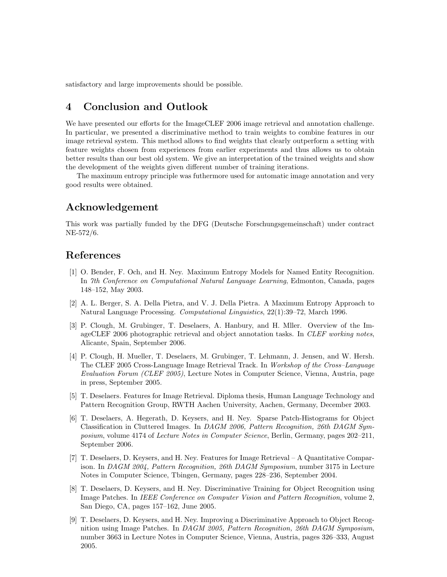satisfactory and large improvements should be possible.

# 4 Conclusion and Outlook

We have presented our efforts for the ImageCLEF 2006 image retrieval and annotation challenge. In particular, we presented a discriminative method to train weights to combine features in our image retrieval system. This method allows to find weights that clearly outperform a setting with feature weights chosen from experiences from earlier experiments and thus allows us to obtain better results than our best old system. We give an interpretation of the trained weights and show the development of the weights given different number of training iterations.

The maximum entropy principle was futhermore used for automatic image annotation and very good results were obtained.

# Acknowledgement

This work was partially funded by the DFG (Deutsche Forschungsgemeinschaft) under contract NE-572/6.

# References

- [1] O. Bender, F. Och, and H. Ney. Maximum Entropy Models for Named Entity Recognition. In 7th Conference on Computational Natural Language Learning, Edmonton, Canada, pages 148–152, May 2003.
- [2] A. L. Berger, S. A. Della Pietra, and V. J. Della Pietra. A Maximum Entropy Approach to Natural Language Processing. Computational Linguistics, 22(1):39–72, March 1996.
- [3] P. Clough, M. Grubinger, T. Deselaers, A. Hanbury, and H. Mller. Overview of the ImageCLEF 2006 photographic retrieval and object annotation tasks. In CLEF working notes, Alicante, Spain, September 2006.
- [4] P. Clough, H. Mueller, T. Deselaers, M. Grubinger, T. Lehmann, J. Jensen, and W. Hersh. The CLEF 2005 Cross-Language Image Retrieval Track. In Workshop of the Cross–Language Evaluation Forum (CLEF 2005), Lecture Notes in Computer Science, Vienna, Austria, page in press, September 2005.
- [5] T. Deselaers. Features for Image Retrieval. Diploma thesis, Human Language Technology and Pattern Recognition Group, RWTH Aachen University, Aachen, Germany, December 2003.
- [6] T. Deselaers, A. Hegerath, D. Keysers, and H. Ney. Sparse Patch-Histograms for Object Classification in Cluttered Images. In DAGM 2006, Pattern Recognition, 26th DAGM Symposium, volume 4174 of Lecture Notes in Computer Science, Berlin, Germany, pages 202–211, September 2006.
- [7] T. Deselaers, D. Keysers, and H. Ney. Features for Image Retrieval A Quantitative Comparison. In DAGM 2004, Pattern Recognition, 26th DAGM Symposium, number 3175 in Lecture Notes in Computer Science, Tbingen, Germany, pages 228–236, September 2004.
- [8] T. Deselaers, D. Keysers, and H. Ney. Discriminative Training for Object Recognition using Image Patches. In IEEE Conference on Computer Vision and Pattern Recognition, volume 2, San Diego, CA, pages 157–162, June 2005.
- [9] T. Deselaers, D. Keysers, and H. Ney. Improving a Discriminative Approach to Object Recognition using Image Patches. In DAGM 2005, Pattern Recognition, 26th DAGM Symposium, number 3663 in Lecture Notes in Computer Science, Vienna, Austria, pages 326–333, August 2005.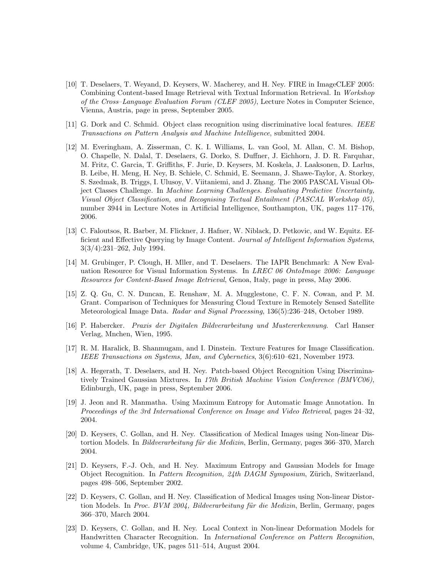- [10] T. Deselaers, T. Weyand, D. Keysers, W. Macherey, and H. Ney. FIRE in ImageCLEF 2005: Combining Content-based Image Retrieval with Textual Information Retrieval. In Workshop of the Cross–Language Evaluation Forum (CLEF 2005), Lecture Notes in Computer Science, Vienna, Austria, page in press, September 2005.
- [11] G. Dork and C. Schmid. Object class recognition using discriminative local features. IEEE Transactions on Pattern Analysis and Machine Intelligence, submitted 2004.
- [12] M. Everingham, A. Zisserman, C. K. I. Williams, L. van Gool, M. Allan, C. M. Bishop, O. Chapelle, N. Dalal, T. Deselaers, G. Dorko, S. Duffner, J. Eichhorn, J. D. R. Farquhar, M. Fritz, C. Garcia, T. Griffiths, F. Jurie, D. Keysers, M. Koskela, J. Laaksonen, D. Larlus, B. Leibe, H. Meng, H. Ney, B. Schiele, C. Schmid, E. Seemann, J. Shawe-Taylor, A. Storkey, S. Szedmak, B. Triggs, I. Ulusoy, V. Viitaniemi, and J. Zhang. The 2005 PASCAL Visual Object Classes Challenge. In Machine Learning Challenges. Evaluating Predictive Uncertainty, Visual Object Classification, and Recognising Tectual Entailment (PASCAL Workshop 05), number 3944 in Lecture Notes in Artificial Intelligence, Southampton, UK, pages 117–176, 2006.
- [13] C. Faloutsos, R. Barber, M. Flickner, J. Hafner, W. Niblack, D. Petkovic, and W. Equitz. Efficient and Effective Querying by Image Content. Journal of Intelligent Information Systems, 3(3/4):231–262, July 1994.
- [14] M. Grubinger, P. Clough, H. Mller, and T. Deselaers. The IAPR Benchmark: A New Evaluation Resource for Visual Information Systems. In *LREC 06 OntoImage 2006: Language* Resources for Content-Based Image Retrieval, Genoa, Italy, page in press, May 2006.
- [15] Z. Q. Gu, C. N. Duncan, E. Renshaw, M. A. Mugglestone, C. F. N. Cowan, and P. M. Grant. Comparison of Techniques for Measuring Cloud Texture in Remotely Sensed Satellite Meteorological Image Data. Radar and Signal Processing, 136(5):236–248, October 1989.
- [16] P. Habercker. Praxis der Digitalen Bildverarbeitung und Mustererkennung. Carl Hanser Verlag, Mnchen, Wien, 1995.
- [17] R. M. Haralick, B. Shanmugam, and I. Dinstein. Texture Features for Image Classification. IEEE Transactions on Systems, Man, and Cybernetics, 3(6):610–621, November 1973.
- [18] A. Hegerath, T. Deselaers, and H. Ney. Patch-based Object Recognition Using Discriminatively Trained Gaussian Mixtures. In 17th British Machine Vision Conference (BMVC06), Edinburgh, UK, page in press, September 2006.
- [19] J. Jeon and R. Manmatha. Using Maximum Entropy for Automatic Image Annotation. In Proceedings of the 3rd International Conference on Image and Video Retrieval, pages 24–32, 2004.
- [20] D. Keysers, C. Gollan, and H. Ney. Classification of Medical Images using Non-linear Distortion Models. In *Bildverarbeitung für die Medizin*, Berlin, Germany, pages 366–370, March 2004.
- [21] D. Keysers, F.-J. Och, and H. Ney. Maximum Entropy and Gaussian Models for Image Object Recognition. In *Pattern Recognition, 24th DAGM Symposium*, Zürich, Switzerland, pages 498–506, September 2002.
- [22] D. Keysers, C. Gollan, and H. Ney. Classification of Medical Images using Non-linear Distortion Models. In Proc. BVM 2004, Bildverarbeitung für die Medizin, Berlin, Germany, pages 366–370, March 2004.
- [23] D. Keysers, C. Gollan, and H. Ney. Local Context in Non-linear Deformation Models for Handwritten Character Recognition. In International Conference on Pattern Recognition, volume 4, Cambridge, UK, pages 511–514, August 2004.